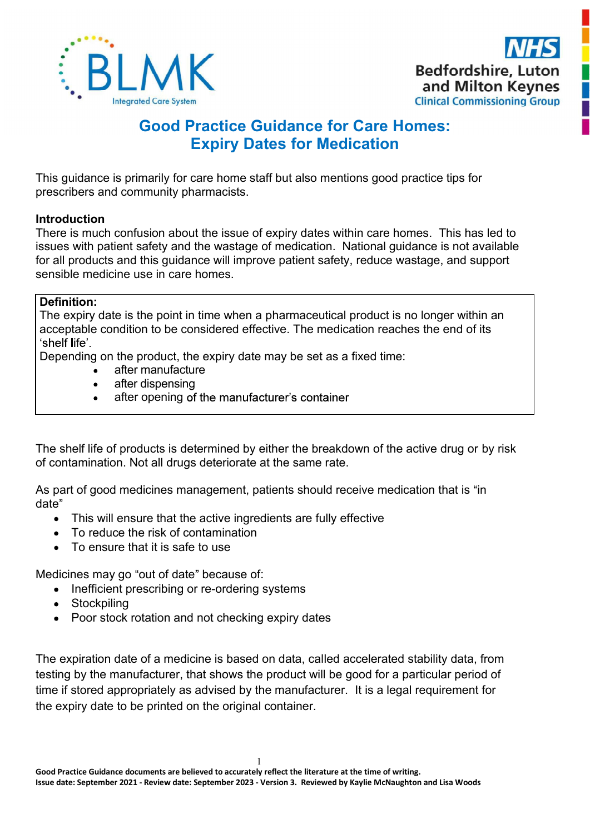



# Good Practice Guidance for Care Homes: Expiry Dates for Medication

This guidance is primarily for care home staff but also mentions good practice tips for prescribers and community pharmacists.

# **Introduction**

There is much confusion about the issue of expiry dates within care homes. This has led to issues with patient safety and the wastage of medication. National guidance is not available for all products and this guidance will improve patient safety, reduce wastage, and support sensible medicine use in care homes.

# Definition:

The expiry date is the point in time when a pharmaceutical product is no longer within an acceptable condition to be considered effective. The medication reaches the end of its 'shelf life'

Depending on the product, the expiry date may be set as a fixed time:

- after manufacture
- after dispensing  $\bullet$
- after opening of the manufacturer's container

The shelf life of products is determined by either the breakdown of the active drug or by risk of contamination. Not all drugs deteriorate at the same rate.

As part of good medicines management, patients should receive medication that is "in date

- This will ensure that the active ingredients are fully effective
- To reduce the risk of contamination
- To ensure that it is safe to use

Medicines may go "out of date" because of:

- Inefficient prescribing or re-ordering systems
- Stockpiling
- Poor stock rotation and not checking expiry dates

The expiration date of a medicine is based on data, called accelerated stability data, from testing by the manufacturer, that shows the product will be good for a particular period of time if stored appropriately as advised by the manufacturer. It is a legal requirement for the expiry date to be printed on the original container.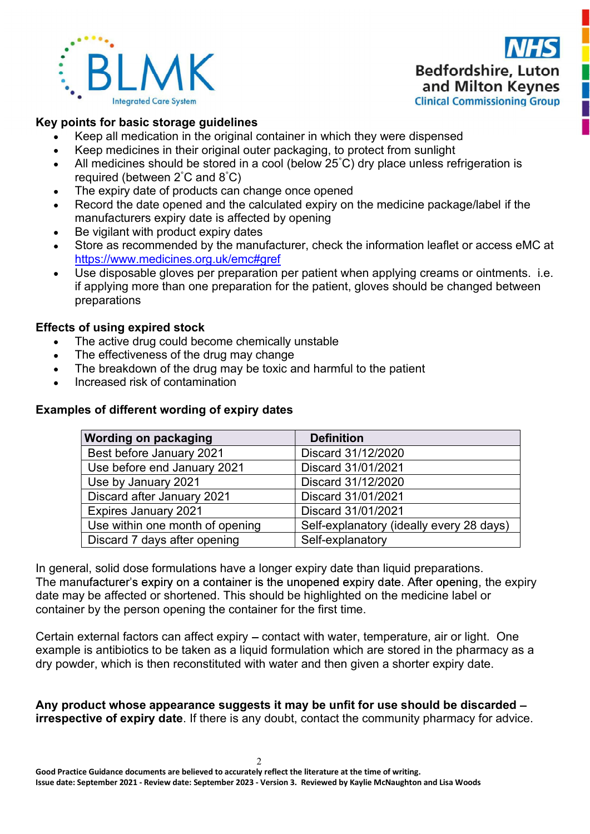



# Key points for basic storage guidelines

- Keep all medication in the original container in which they were dispensed
- Keep medicines in their original outer packaging, to protect from sunlight
- All medicines should be stored in a cool (below 25°C) dry place unless refrigeration is required (between 2°C and 8°C)
- The expiry date of products can change once opened
- Record the date opened and the calculated expiry on the medicine package/label if the manufacturers expiry date is affected by opening
- Be vigilant with product expiry dates  $\bullet$
- Store as recommended by the manufacturer, check the information leaflet or access eMC at https://www.medicines.org.uk/emc#gref<br>Use disposable gloves per preparation per patient when applying creams or ointments. i.e.
- if applying more than one preparation for the patient, gloves should be changed between preparations

# Effects of using expired stock

- The active drug could become chemically unstable
- The effectiveness of the drug may change
- The breakdown of the drug may be toxic and harmful to the patient  $\bullet$
- Increased risk of contamination

# Examples of different wording of expiry dates

| <b>Wording on packaging</b>     | <b>Definition</b>                        |
|---------------------------------|------------------------------------------|
| Best before January 2021        | Discard 31/12/2020                       |
| Use before end January 2021     | Discard 31/01/2021                       |
| Use by January 2021             | Discard 31/12/2020                       |
| Discard after January 2021      | Discard 31/01/2021                       |
| <b>Expires January 2021</b>     | Discard 31/01/2021                       |
| Use within one month of opening | Self-explanatory (ideally every 28 days) |
| Discard 7 days after opening    | Self-explanatory                         |

In general, solid dose formulations have a longer expiry date than liquid preparations. The manufacturer's expiry on a container is the unopened expiry date. After opening, the expiry date may be affected or shortened. This should be highlighted on the medicine label or container by the person opening the container for the first time.

Certain external factors can affect expiry – contact with water, temperature, air or light. One example is antibiotics to be taken as a liquid formulation which are stored in the pharmacy as a dry powder, which is then reconstituted with water and then given a shorter expiry date.

Any product whose appearance suggests it may be unfit for use should be discarded – **irrespective of expiry date**. If there is any doubt, contact the community pharmacy for advice.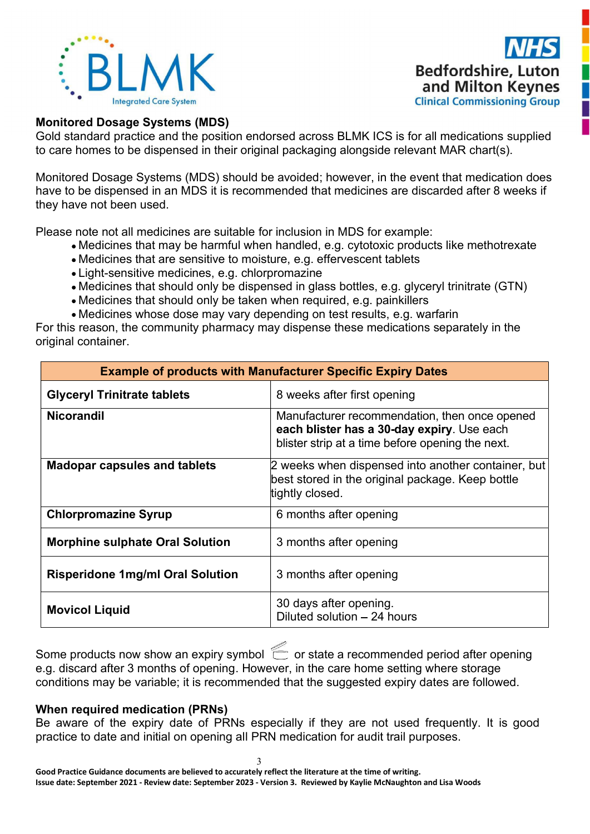



#### Monitored Dosage Systems (MDS)

Gold standard practice and the position endorsed across BLMK ICS is for all medications supplied<br>Monitored Dosage Systems (MDS)<br>Gold standard practice and the position endorsed across BLMK ICS is for all medications suppli to care homes to be dispensed in their original packaging alongside relevant MAR chart(s).<br>
Monitored Dosage Systems (MDS)<br>
Gold standard practice and the position endorsed across BLMK ICS is for all medications supplied<br> Monitored Dosage Systems (MDS)<br>
Monitored Dosage Systems (MDS)<br>
Monitored Dosage Systems (MDS)<br>
Monitored Dosage Systems (MDS)<br>
Monitored Dosage Systems (MDS) should be avoided; however, in the event that medication does<br> **FREE SET AND REPAIRE THE SET AND REGISTANCES IN BEHOT CONTROLLED AND RESPONSED MONORE DURING CONSIDERABLY CONTROLLED SUPPOSED CONTROLLED AND SCALE INTO THE SCALE IN A MORE CONTROLLED AND A MORE TO A MORE THAT A MORE AND A** they have not been used. **Please note not all medicines are suitable for inclusion in MDS for example:**<br> **Please note not all medicial Commissioning Group**<br> **Please note of inclusion in their original packaging alongside relevant MAR chart(s).**<br> MEDITE CONSIDER A Bedfordshire, Luton<br>
Medicines Systems (MDS)<br>
Indegrade Care System<br>
ed Dosage Systems (MDS)<br>
Indegrade Care Systems<br>
Indegrade Care Systems<br>
Ad Dosage Systems (MDS) should be avoided; however, in the eve MEDIT BESTAND TO THE SERVICE THE SERVICE THE MEDIT ON MANGED THE MEDIT ON THE STATE OF THE STATE OF THE STATE OF THE STATE OF THE STATE OF THE STATE OF THE STATE OF THE STATE OF THE STATE OF THE STATE OF THE STATE OF THE S **EXERCT METHET SET ASSEM WE ARE THE SET ASSEMBLY THE CONSIDENT CONSIDERATION CONSIDERATION CONSIDERATION CONSIDERATION (SCITE AND CONSIDERATION IN A CHARGED CONSIDERATION (SCITE AND CONSIDERATION CONSIDERATION (SCITE AND C EXECTS AND THE SHOULD CONDUCT SHOW THE SHOULD CONDUCT SHOW THE SHOW CINCIDE SHOW THE SHOW CINCIDE CONDUCT CONDUCT CONDUCT CONDUCT CONDUCT CONDUCT CONDUCT CONDUCT CONDUCT CONDUCT CONDUCT CONDUCT CONDUCT CONDUCT CONDUCT CON EXERCT MET THE SHOT CONDUCT AND THE SHOULD CONDUCT AND SHOW THE SHOW THE SHOW THE SHOW THE SHOW THE SHOW THE SHOWER SHOWERS TO DREAD THE SHOW THAT SHOWERS TO DREAD TO DREAD THE SHOWER ON DREAD THE SHOWER ON DREAD THE SHOW EXERCT MET THE SET ASSEMBED THE SET ASSEMBED THE CONDUCT SCHOLAR CONSIDERATION CONSIDERATION CONSIDERATION**<br> **EXERCT DOSEAGE STATES (SIGNATION CONSIDERATION** CONSIDERATION ON THE SURFACT ON THE SURFACT ON THE SURFACT ON T For this reason, the community pharmacy may dispense these medications separately in the community of Community of the community pharmacy may dispense in the community pharmacy may dispense the medication of the pharmacy m

- 
- 
- 
- 
- 
- 

| <b>Monitored Dosage Systems (MDS)</b>                                                                                                                                                                                                                                                                                                                                                 | Gold standard practice and the position endorsed across BLMK ICS is for all medications supplied<br>to care homes to be dispensed in their original packaging alongside relevant MAR chart(s).                                                                                                                      |  |  |  |
|---------------------------------------------------------------------------------------------------------------------------------------------------------------------------------------------------------------------------------------------------------------------------------------------------------------------------------------------------------------------------------------|---------------------------------------------------------------------------------------------------------------------------------------------------------------------------------------------------------------------------------------------------------------------------------------------------------------------|--|--|--|
| they have not been used.                                                                                                                                                                                                                                                                                                                                                              | Monitored Dosage Systems (MDS) should be avoided; however, in the event that medication does<br>have to be dispensed in an MDS it is recommended that medicines are discarded after 8 weeks if                                                                                                                      |  |  |  |
| Please note not all medicines are suitable for inclusion in MDS for example:<br>• Medicines that are sensitive to moisture, e.g. effervescent tablets<br>• Light-sensitive medicines, e.g. chlorpromazine<br>• Medicines that should only be taken when required, e.g. painkillers<br>• Medicines whose dose may vary depending on test results, e.g. warfarin<br>original container. | • Medicines that may be harmful when handled, e.g. cytotoxic products like methotrexate<br>• Medicines that should only be dispensed in glass bottles, e.g. glyceryl trinitrate (GTN)<br>For this reason, the community pharmacy may dispense these medications separately in the                                   |  |  |  |
|                                                                                                                                                                                                                                                                                                                                                                                       | <b>Example of products with Manufacturer Specific Expiry Dates</b>                                                                                                                                                                                                                                                  |  |  |  |
| <b>Glyceryl Trinitrate tablets</b>                                                                                                                                                                                                                                                                                                                                                    | 8 weeks after first opening                                                                                                                                                                                                                                                                                         |  |  |  |
| <b>Nicorandil</b><br>Manufacturer recommendation, then once opened<br>each blister has a 30-day expiry. Use each<br>blister strip at a time before opening the next.                                                                                                                                                                                                                  |                                                                                                                                                                                                                                                                                                                     |  |  |  |
| <b>Madopar capsules and tablets</b>                                                                                                                                                                                                                                                                                                                                                   | 2 weeks when dispensed into another container, but<br>best stored in the original package. Keep bottle<br>tightly closed.                                                                                                                                                                                           |  |  |  |
| <b>Chlorpromazine Syrup</b>                                                                                                                                                                                                                                                                                                                                                           | 6 months after opening                                                                                                                                                                                                                                                                                              |  |  |  |
| <b>Morphine sulphate Oral Solution</b>                                                                                                                                                                                                                                                                                                                                                | 3 months after opening                                                                                                                                                                                                                                                                                              |  |  |  |
| <b>Risperidone 1mg/ml Oral Solution</b>                                                                                                                                                                                                                                                                                                                                               | 3 months after opening                                                                                                                                                                                                                                                                                              |  |  |  |
| <b>Movicol Liquid</b>                                                                                                                                                                                                                                                                                                                                                                 | 30 days after opening.<br>Diluted solution - 24 hours                                                                                                                                                                                                                                                               |  |  |  |
| e.g. discard after 3 months of opening. However, in the care home setting where storage<br>When required medication (PRNs)<br>practice to date and initial on opening all PRN medication for audit trail purposes.                                                                                                                                                                    | Some products now show an expiry symbol $\;\stackrel{\textstyle<}{\sim}\;$ or state a recommended period after opening<br>conditions may be variable; it is recommended that the suggested expiry dates are followed.<br>Be aware of the expiry date of PRNs especially if they are not used frequently. It is good |  |  |  |
| Good Practice Guidance documents are believed to accurately reflect the literature at the time of writing.<br>Issue date: September 2021 - Review date: September 2023 - Version 3. Reviewed by Kaylie McNaughton and Lisa Woods                                                                                                                                                      |                                                                                                                                                                                                                                                                                                                     |  |  |  |

#### When required medication (PRNs)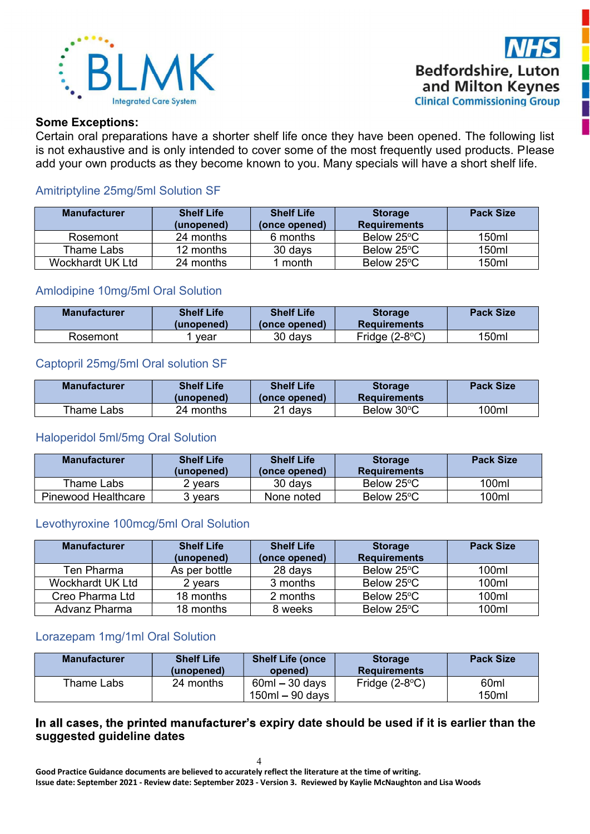



#### Some Exceptions:

Certain oral preparations have a shorter shelf life once they have been opened. The following list is not exhaustive and is only intended to cover some of the most frequently used products. Please add your own products as they become known to you. Many specials will have a short shelf life.

# Amitriptyline 25mg/5ml Solution SF

| <b>Manufacturer</b> | <b>Shelf Life</b><br>(unopened) | <b>Shelf Life</b><br>(once opened) | <b>Storage</b><br><b>Requirements</b> | <b>Pack Size</b> |
|---------------------|---------------------------------|------------------------------------|---------------------------------------|------------------|
| Rosemont            | 24 months                       | 6 months                           | Below 25°C                            | 150ml            |
| Thame Labs          | 12 months                       | 30 days                            | Below 25°C                            | 150ml            |
| Wockhardt UK Ltd    | 24 months                       | month                              | Below 25°C                            | 150ml            |

## Amlodipine 10mg/5ml Oral Solution

| <b>Manufacturer</b> | <b>Shelf Life</b><br>(unopened) | <b>Shelf Life</b><br>(once opened) | <b>Storage</b><br><b>Requirements</b> | <b>Pack Size</b> |
|---------------------|---------------------------------|------------------------------------|---------------------------------------|------------------|
| Rosemont            | vear                            | 30 days                            | Fridge $(2-8°C)$                      | 150ml            |

## Captopril 25mg/5ml Oral solution SF

| <b>Manufacturer</b> | <b>Shelf Life</b><br>(unopened) | <b>Shelf Life</b><br>(once opened) | <b>Storage</b><br><b>Requirements</b> | <b>Pack Size</b> |
|---------------------|---------------------------------|------------------------------------|---------------------------------------|------------------|
| Thame Labs          | 24 months                       | <sup>າ</sup> 1 days                | Below 30°C                            | 100ml            |

#### Haloperidol 5ml/5mg Oral Solution

| <b>Manufacturer</b>        | <b>Shelf Life</b><br>(unopened) | <b>Shelf Life</b><br>(once opened) | <b>Storage</b><br><b>Requirements</b> | <b>Pack Size</b> |
|----------------------------|---------------------------------|------------------------------------|---------------------------------------|------------------|
| Thame Labs                 | vears                           | 30 days                            | Below 25°C                            | 100ml            |
| <b>Pinewood Healthcare</b> | vears                           | None noted                         | Below 25°C                            | 100ml            |

#### Levothyroxine 100mcg/5ml Oral Solution

| <b>Manufacturer</b> | <b>Shelf Life</b><br>(unopened) | <b>Shelf Life</b><br>(once opened) | <b>Storage</b><br><b>Requirements</b> | <b>Pack Size</b> |
|---------------------|---------------------------------|------------------------------------|---------------------------------------|------------------|
| Ten Pharma          | As per bottle                   | 28 days                            | Below 25°C                            | 100ml            |
| Wockhardt UK Ltd    | 2 vears                         | 3 months                           | Below 25°C                            | 100ml            |
| Creo Pharma Ltd     | 18 months                       | 2 months                           | Below 25°C                            | 100ml            |
| Advanz Pharma       | 18 months                       | 8 weeks                            | Below 25°C                            | 100ml            |

#### Lorazepam 1mg/1ml Oral Solution

| <b>Manufacturer</b> | <b>Shelf Life</b><br>(unopened) | <b>Shelf Life (once</b><br>opened)    | <b>Storage</b><br><b>Requirements</b> | <b>Pack Size</b>          |
|---------------------|---------------------------------|---------------------------------------|---------------------------------------|---------------------------|
| Thame Labs          | 24 months                       | $60ml - 30$ days<br>$150ml - 90$ days | Fridge $(2-8°C)$                      | 60 <sub>ml</sub><br>150ml |

## In all cases, the printed manufacturer's expiry date should be used if it is earlier than the suggested guideline dates

 4 Good Practice Guidance documents are believed to accurately reflect the literature at the time of writing. Issue date: September 2021 - Review date: September 2023 - Version 3. Reviewed by Kaylie McNaughton and Lisa Woods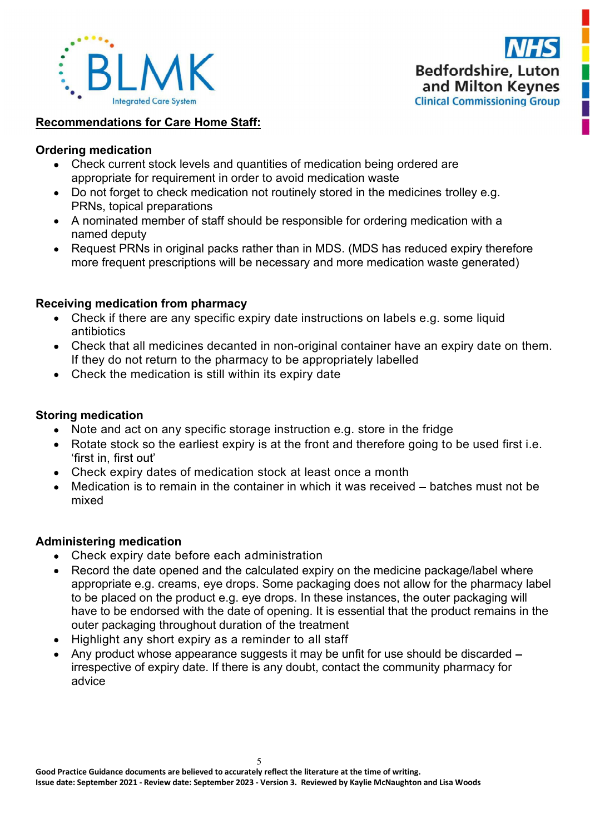



## Recommendations for Care Home Staff:

## Ordering medication

- Check current stock levels and quantities of medication being ordered are appropriate for requirement in order to avoid medication waste
- Do not forget to check medication not routinely stored in the medicines trolley e.g. PRNs, topical preparations
- A nominated member of staff should be responsible for ordering medication with a named deputy
- Request PRNs in original packs rather than in MDS. (MDS has reduced expiry therefore more frequent prescriptions will be necessary and more medication waste generated)

# Receiving medication from pharmacy

- Check if there are any specific expiry date instructions on labels e.g. some liquid antibiotics
- Check that all medicines decanted in non-original container have an expiry date on them. If they do not return to the pharmacy to be appropriately labelled
- Check the medication is still within its expiry date

## Storing medication

- Note and act on any specific storage instruction e.g. store in the fridge
- Rotate stock so the earliest expiry is at the front and therefore going to be used first i.e. 'first in, first out'
- Check expiry dates of medication stock at least once a month
- Medication is to remain in the container in which it was received  $-$  batches must not be mixed

#### Administering medication

- Check expiry date before each administration
- Record the date opened and the calculated expiry on the medicine package/label where appropriate e.g. creams, eye drops. Some packaging does not allow for the pharmacy label to be placed on the product e.g. eye drops. In these instances, the outer packaging will have to be endorsed with the date of opening. It is essential that the product remains in the outer packaging throughout duration of the treatment
- Highlight any short expiry as a reminder to all staff
- Any product whose appearance suggests it may be unfit for use should be discarded irrespective of expiry date. If there is any doubt, contact the community pharmacy for advice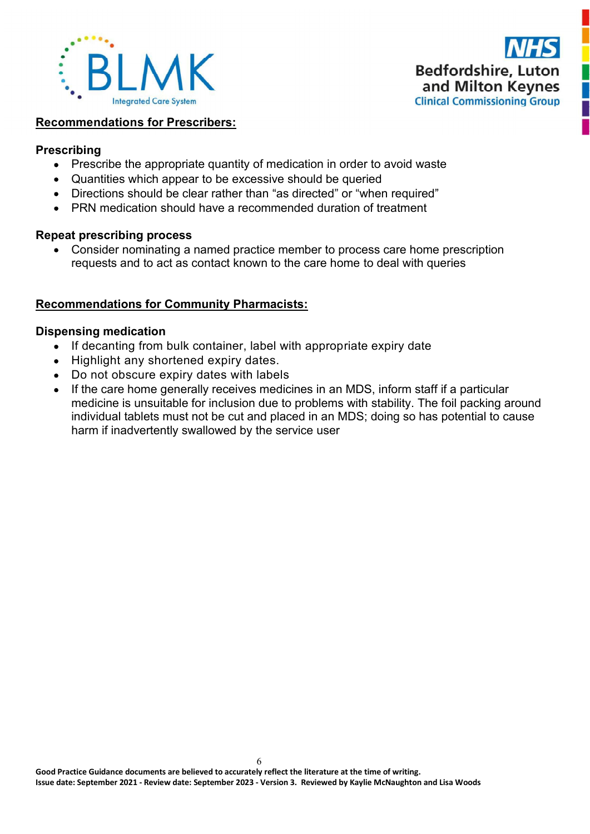



#### Recommendations for Prescribers:

#### Prescribing

- Prescribe the appropriate quantity of medication in order to avoid waste
- Quantities which appear to be excessive should be queried
- Directions should be clear rather than "as directed" or "when required"
- PRN medication should have a recommended duration of treatment

## Repeat prescribing process

 Consider nominating a named practice member to process care home prescription requests and to act as contact known to the care home to deal with queries

# Recommendations for Community Pharmacists:

## Dispensing medication

- If decanting from bulk container, label with appropriate expiry date
- Highlight any shortened expiry dates.
- Do not obscure expiry dates with labels
- If the care home generally receives medicines in an MDS, inform staff if a particular medicine is unsuitable for inclusion due to problems with stability. The foil packing around individual tablets must not be cut and placed in an MDS; doing so has potential to cause harm if inadvertently swallowed by the service user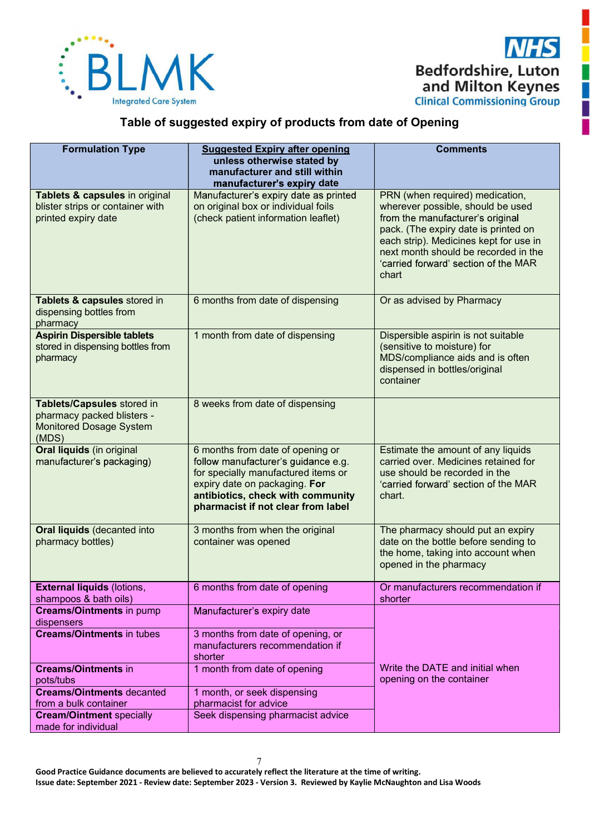

# Table of suggested expiry of products from date of Opening

| <b>Formulation Type</b>                                                                             | <b>Suggested Expiry after opening</b><br>unless otherwise stated by<br>manufacturer and still within<br>manufacturer's expiry date                                                                                         | <b>Comments</b>                                                                                                                                                                                                                                                                     |
|-----------------------------------------------------------------------------------------------------|----------------------------------------------------------------------------------------------------------------------------------------------------------------------------------------------------------------------------|-------------------------------------------------------------------------------------------------------------------------------------------------------------------------------------------------------------------------------------------------------------------------------------|
| Tablets & capsules in original<br>blister strips or container with<br>printed expiry date           | Manufacturer's expiry date as printed<br>on original box or individual foils<br>(check patient information leaflet)                                                                                                        | PRN (when required) medication,<br>wherever possible, should be used<br>from the manufacturer's original<br>pack. (The expiry date is printed on<br>each strip). Medicines kept for use in<br>next month should be recorded in the<br>'carried forward' section of the MAR<br>chart |
| Tablets & capsules stored in<br>dispensing bottles from<br>pharmacy                                 | 6 months from date of dispensing                                                                                                                                                                                           | Or as advised by Pharmacy                                                                                                                                                                                                                                                           |
| <b>Aspirin Dispersible tablets</b><br>stored in dispensing bottles from<br>pharmacy                 | 1 month from date of dispensing                                                                                                                                                                                            | Dispersible aspirin is not suitable<br>(sensitive to moisture) for<br>MDS/compliance aids and is often<br>dispensed in bottles/original<br>container                                                                                                                                |
| Tablets/Capsules stored in<br>pharmacy packed blisters -<br><b>Monitored Dosage System</b><br>(MDS) | 8 weeks from date of dispensing                                                                                                                                                                                            |                                                                                                                                                                                                                                                                                     |
| <b>Oral liquids (in original</b><br>manufacturer's packaging)                                       | 6 months from date of opening or<br>follow manufacturer's guidance e.g.<br>for specially manufactured items or<br>expiry date on packaging. For<br>antibiotics, check with community<br>pharmacist if not clear from label | Estimate the amount of any liquids<br>carried over. Medicines retained for<br>use should be recorded in the<br>'carried forward' section of the MAR<br>chart.                                                                                                                       |
| <b>Oral liquids (decanted into</b><br>pharmacy bottles)                                             | 3 months from when the original<br>container was opened                                                                                                                                                                    | The pharmacy should put an expiry<br>date on the bottle before sending to<br>the home, taking into account when<br>opened in the pharmacy                                                                                                                                           |
| <b>External liquids (lotions,</b><br>shampoos & bath oils)                                          | 6 months from date of opening                                                                                                                                                                                              | Or manufacturers recommendation if<br>shorter                                                                                                                                                                                                                                       |
| <b>Creams/Ointments in pump</b><br>dispensers                                                       | Manufacturer's expiry date                                                                                                                                                                                                 |                                                                                                                                                                                                                                                                                     |
| <b>Creams/Ointments in tubes</b>                                                                    | 3 months from date of opening, or<br>manufacturers recommendation if<br>shorter                                                                                                                                            |                                                                                                                                                                                                                                                                                     |
| <b>Creams/Ointments in</b><br>pots/tubs                                                             | 1 month from date of opening                                                                                                                                                                                               | Write the DATE and initial when<br>opening on the container                                                                                                                                                                                                                         |
| <b>Creams/Ointments decanted</b><br>from a bulk container                                           | 1 month, or seek dispensing<br>pharmacist for advice                                                                                                                                                                       |                                                                                                                                                                                                                                                                                     |
| <b>Cream/Ointment specially</b>                                                                     | Seek dispensing pharmacist advice                                                                                                                                                                                          |                                                                                                                                                                                                                                                                                     |
| made for individual                                                                                 |                                                                                                                                                                                                                            |                                                                                                                                                                                                                                                                                     |

 7 Good Practice Guidance documents are believed to accurately reflect the literature at the time of writing. Issue date: September 2021 - Review date: September 2023 - Version 3. Reviewed by Kaylie McNaughton and Lisa Woods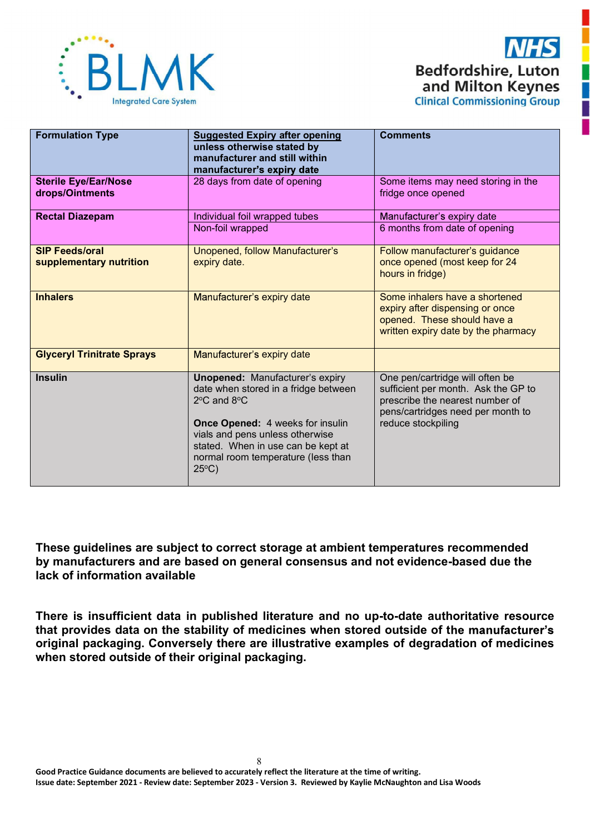



| <b>Formulation Type</b>                          | <b>Suggested Expiry after opening</b><br>unless otherwise stated by<br>manufacturer and still within<br>manufacturer's expiry date                                                                                                                                                             | <b>Comments</b>                                                                                                                                                      |
|--------------------------------------------------|------------------------------------------------------------------------------------------------------------------------------------------------------------------------------------------------------------------------------------------------------------------------------------------------|----------------------------------------------------------------------------------------------------------------------------------------------------------------------|
| <b>Sterile Eye/Ear/Nose</b><br>drops/Ointments   | 28 days from date of opening                                                                                                                                                                                                                                                                   | Some items may need storing in the<br>fridge once opened                                                                                                             |
| <b>Rectal Diazepam</b>                           | Individual foil wrapped tubes<br>Non-foil wrapped                                                                                                                                                                                                                                              | Manufacturer's expiry date<br>6 months from date of opening                                                                                                          |
| <b>SIP Feeds/oral</b><br>supplementary nutrition | Unopened, follow Manufacturer's<br>expiry date.                                                                                                                                                                                                                                                | Follow manufacturer's guidance<br>once opened (most keep for 24<br>hours in fridge)                                                                                  |
| <b>Inhalers</b>                                  | Manufacturer's expiry date                                                                                                                                                                                                                                                                     | Some inhalers have a shortened<br>expiry after dispensing or once<br>opened. These should have a<br>written expiry date by the pharmacy                              |
| <b>Glyceryl Trinitrate Sprays</b>                | Manufacturer's expiry date                                                                                                                                                                                                                                                                     |                                                                                                                                                                      |
| <b>Insulin</b>                                   | <b>Unopened: Manufacturer's expiry</b><br>date when stored in a fridge between<br>$2^{\circ}$ C and $8^{\circ}$ C<br><b>Once Opened: 4 weeks for insulin</b><br>vials and pens unless otherwise<br>stated. When in use can be kept at<br>normal room temperature (less than<br>$25^{\circ}$ C) | One pen/cartridge will often be<br>sufficient per month. Ask the GP to<br>prescribe the nearest number of<br>pens/cartridges need per month to<br>reduce stockpiling |

These guidelines are subject to correct storage at ambient temperatures recommended by manufacturers and are based on general consensus and not evidence-based due the lack of information available

There is insufficient data in published literature and no up-to-date authoritative resource that provides data on the stability of medicines when stored outside of the manufacturer's original packaging. Conversely there are illustrative examples of degradation of medicines when stored outside of their original packaging.